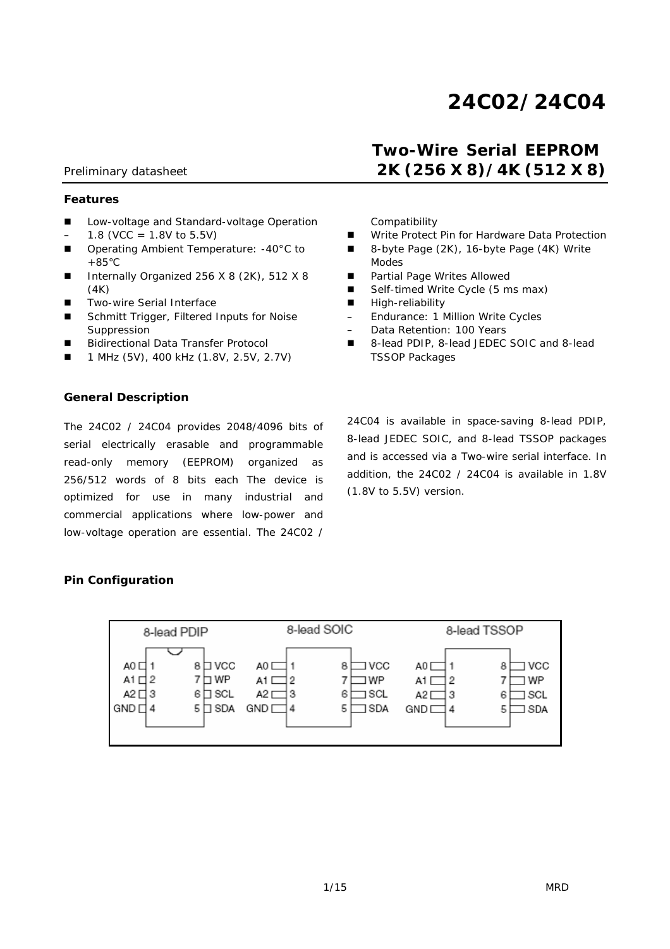# *24C02/24C04*

# Preliminary datasheet *2K (256 X 8)/4K (512 X 8)*

#### **Features**

- Low-voltage and Standard-voltage Operation  $-$  1.8 (VCC = 1.8V to 5.5V)
- Operating Ambient Temperature: -40°C to  $+85^{\circ}$ C
- Internally Organized 256 X 8 (2K), 512 X 8 (4K)
- **Two-wire Serial Interface**
- Schmitt Trigger, Filtered Inputs for Noise Suppression
- Bidirectional Data Transfer Protocol
- 1 MHz (5V), 400 kHz (1.8V, 2.5V, 2.7V)

### **General Description**

The 24C02 / 24C04 provides 2048/4096 bits of serial electrically erasable and programmable read-only memory (EEPROM) organized as 256/512 words of 8 bits each The device is optimized for use in many industrial and commercial applications where low-power and low-voltage operation are essential. The 24C02 /

Compatibility

■ Write Protect Pin for Hardware Data Protection

 *Two-Wire Serial EEPROM* 

- 8-byte Page (2K), 16-byte Page (4K) Write Modes
- Partial Page Writes Allowed
- Self-timed Write Cycle (5 ms max)
- **High-reliability**
- Endurance: 1 Million Write Cycles
- Data Retention: 100 Years
- 8-lead PDIP, 8-lead JEDEC SOIC and 8-lead TSSOP Packages

24C04 is available in space-saving 8-lead PDIP, 8-lead JEDEC SOIC, and 8-lead TSSOP packages and is accessed via a Two-wire serial interface. In addition, the 24C02 / 24C04 is available in 1.8V (1.8V to 5.5V) version.

### **Pin Configuration**

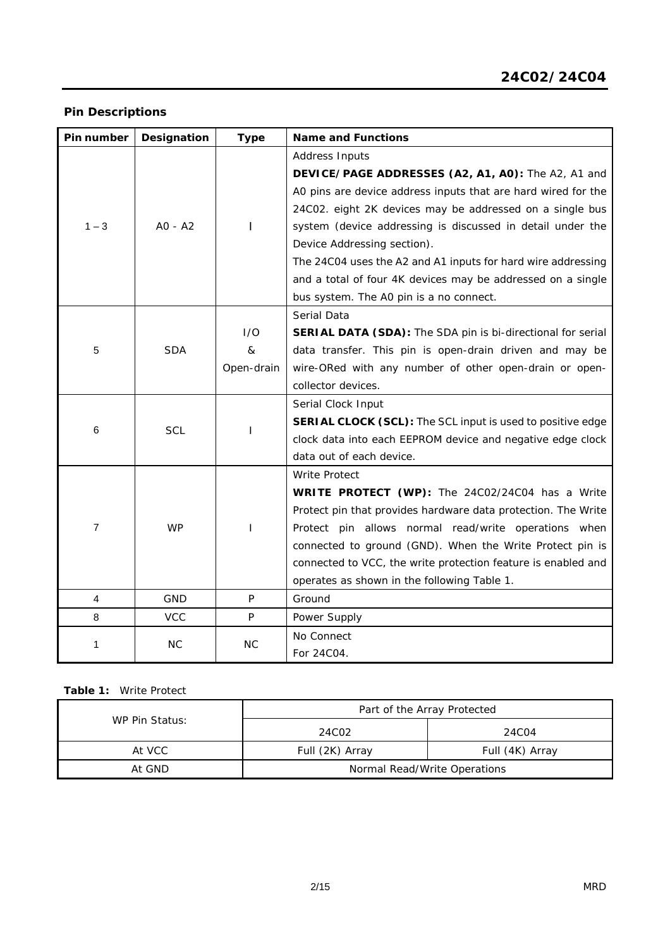# **Pin Descriptions**

| Pin number     | Designation | <b>Type</b> | <b>Name and Functions</b>                                     |  |  |  |  |
|----------------|-------------|-------------|---------------------------------------------------------------|--|--|--|--|
|                |             |             | Address Inputs                                                |  |  |  |  |
|                |             |             | DEVICE/PAGE ADDRESSES (A2, A1, A0): The A2, A1 and            |  |  |  |  |
|                |             |             | A0 pins are device address inputs that are hard wired for the |  |  |  |  |
|                |             |             | 24C02. eight 2K devices may be addressed on a single bus      |  |  |  |  |
| $1 - 3$        | A0 - A2     |             | system (device addressing is discussed in detail under the    |  |  |  |  |
|                |             |             | Device Addressing section).                                   |  |  |  |  |
|                |             |             | The 24C04 uses the A2 and A1 inputs for hard wire addressing  |  |  |  |  |
|                |             |             | and a total of four 4K devices may be addressed on a single   |  |  |  |  |
|                |             |             | bus system. The A0 pin is a no connect.                       |  |  |  |  |
|                |             |             | Serial Data                                                   |  |  |  |  |
|                |             | I/O         | SERIAL DATA (SDA): The SDA pin is bi-directional for serial   |  |  |  |  |
| 5              | <b>SDA</b>  | &           | data transfer. This pin is open-drain driven and may be       |  |  |  |  |
|                |             | Open-drain  | wire-ORed with any number of other open-drain or open-        |  |  |  |  |
|                |             |             | collector devices.                                            |  |  |  |  |
|                |             |             | Serial Clock Input                                            |  |  |  |  |
| 6              | <b>SCL</b>  |             | SERIAL CLOCK (SCL): The SCL input is used to positive edge    |  |  |  |  |
|                |             |             | clock data into each EEPROM device and negative edge clock    |  |  |  |  |
|                |             |             | data out of each device.                                      |  |  |  |  |
|                |             |             | <b>Write Protect</b>                                          |  |  |  |  |
|                |             |             | WRITE PROTECT (WP): The 24C02/24C04 has a Write               |  |  |  |  |
|                |             |             | Protect pin that provides hardware data protection. The Write |  |  |  |  |
| $\overline{7}$ | <b>WP</b>   | L           | Protect pin allows normal read/write operations when          |  |  |  |  |
|                |             |             | connected to ground (GND). When the Write Protect pin is      |  |  |  |  |
|                |             |             | connected to VCC, the write protection feature is enabled and |  |  |  |  |
|                |             |             | operates as shown in the following Table 1.                   |  |  |  |  |
| 4              | GND         | $\sf P$     | Ground                                                        |  |  |  |  |
| 8              | <b>VCC</b>  | P           | Power Supply                                                  |  |  |  |  |
| 1              | <b>NC</b>   | <b>NC</b>   | No Connect                                                    |  |  |  |  |
|                |             |             | For 24C04.                                                    |  |  |  |  |

### **Table 1:** Write Protect

|                                        | Part of the Array Protected |                   |  |  |  |
|----------------------------------------|-----------------------------|-------------------|--|--|--|
| WP Pin Status:                         | 24C02                       | 24C <sub>04</sub> |  |  |  |
| At VCC                                 | Full (2K) Array             | Full (4K) Array   |  |  |  |
| At GND<br>Normal Read/Write Operations |                             |                   |  |  |  |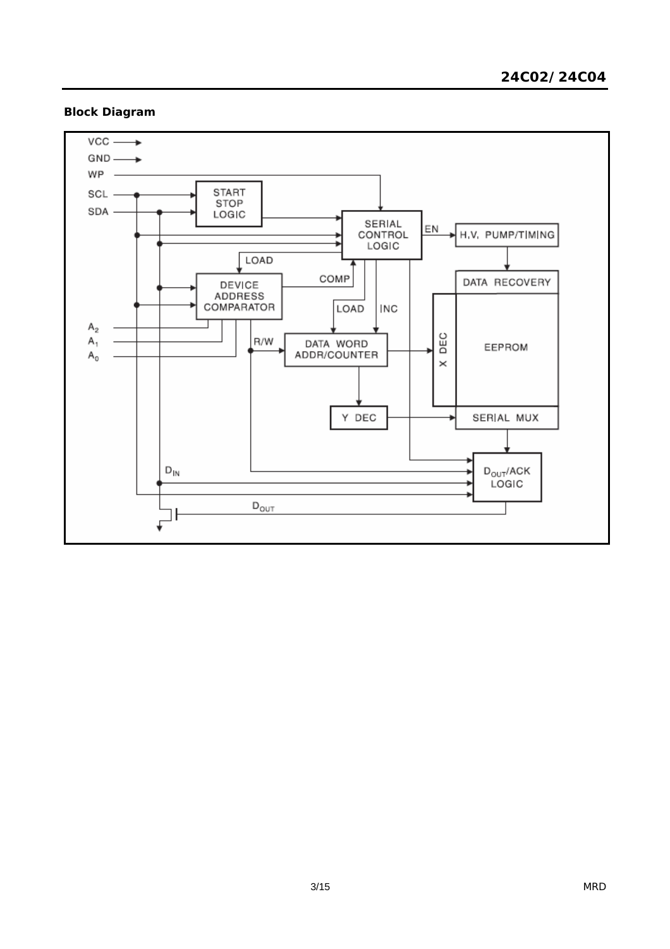# **Block Diagram**

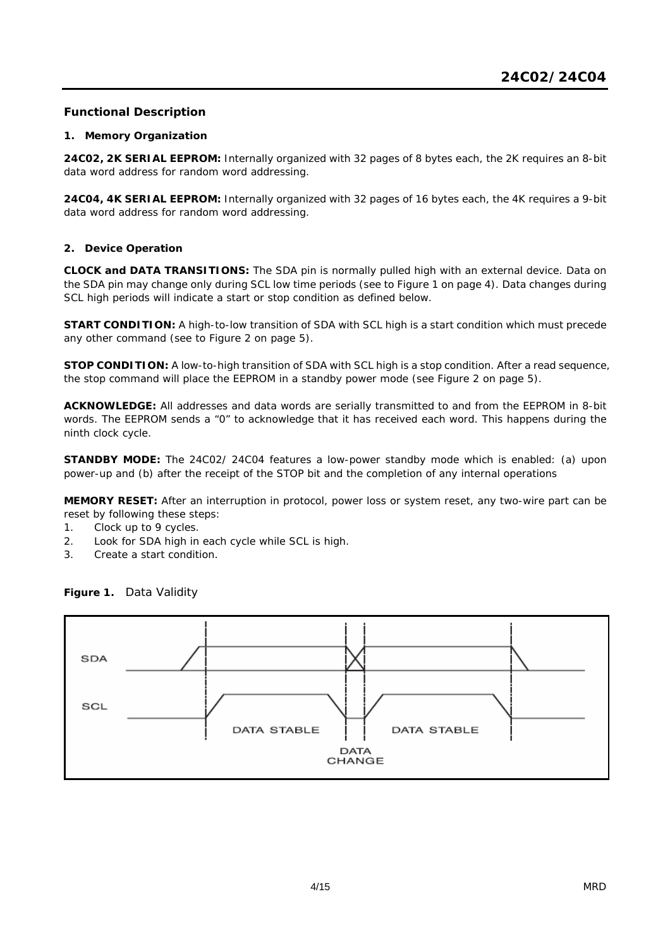# **Functional Description**

### **1. Memory Organization**

**24C02, 2K SERIAL EEPROM:** Internally organized with 32 pages of 8 bytes each, the 2K requires an 8-bit data word address for random word addressing.

**24C04, 4K SERIAL EEPROM:** Internally organized with 32 pages of 16 bytes each, the 4K requires a 9-bit data word address for random word addressing.

### **2. Device Operation**

**CLOCK and DATA TRANSITIONS:** The SDA pin is normally pulled high with an external device. Data on the SDA pin may change only during SCL low time periods (see to Figure 1 on page 4). Data changes during SCL high periods will indicate a start or stop condition as defined below.

**START CONDITION:** A high-to-low transition of SDA with SCL high is a start condition which must precede any other command (see to Figure 2 on page 5).

**STOP CONDITION:** A low-to-high transition of SDA with SCL high is a stop condition. After a read sequence, the stop command will place the EEPROM in a standby power mode (see Figure 2 on page 5).

**ACKNOWLEDGE:** All addresses and data words are serially transmitted to and from the EEPROM in 8-bit words. The EEPROM sends a "0" to acknowledge that it has received each word. This happens during the ninth clock cycle.

**STANDBY MODE:** The 24C02/ 24C04 features a low-power standby mode which is enabled: (a) upon power-up and (b) after the receipt of the STOP bit and the completion of any internal operations

**MEMORY RESET:** After an interruption in protocol, power loss or system reset, any two-wire part can be reset by following these steps:

- 1. Clock up to 9 cycles.
- 2. Look for SDA high in each cycle while SCL is high.
- 3. Create a start condition.



**Figure 1.** Data Validity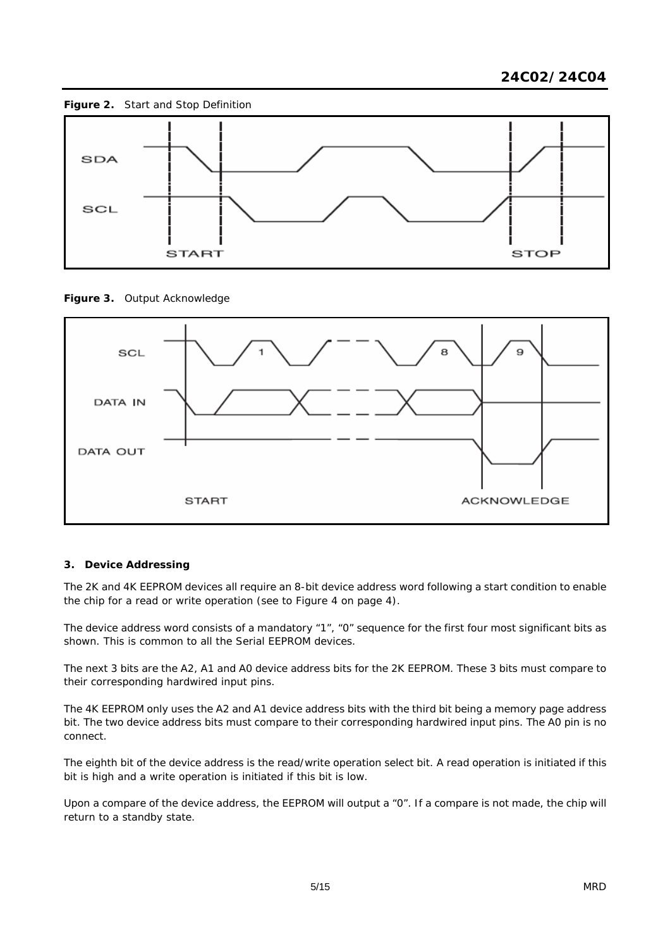

**Figure 3.** Output Acknowledge



### **3. Device Addressing**

The 2K and 4K EEPROM devices all require an 8-bit device address word following a start condition to enable the chip for a read or write operation (see to Figure 4 on page 4).

The device address word consists of a mandatory "1", "0" sequence for the first four most significant bits as shown. This is common to all the Serial EEPROM devices.

The next 3 bits are the A2, A1 and A0 device address bits for the 2K EEPROM. These 3 bits must compare to their corresponding hardwired input pins.

The 4K EEPROM only uses the A2 and A1 device address bits with the third bit being a memory page address bit. The two device address bits must compare to their corresponding hardwired input pins. The A0 pin is no connect.

The eighth bit of the device address is the read/write operation select bit. A read operation is initiated if this bit is high and a write operation is initiated if this bit is low.

Upon a compare of the device address, the EEPROM will output a "0". If a compare is not made, the chip will return to a standby state.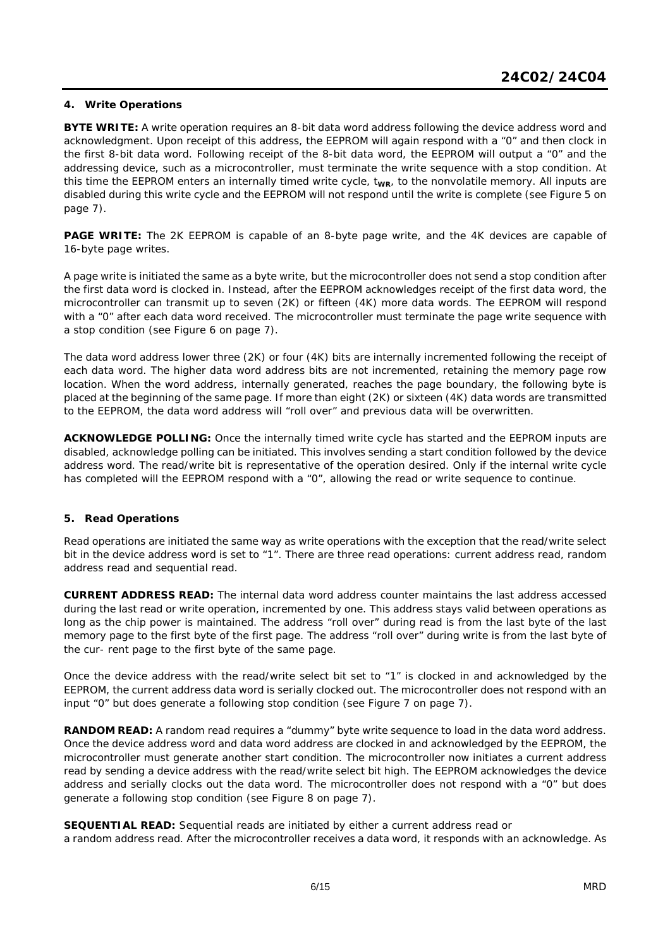### **4. Write Operations**

**BYTE WRITE:** A write operation requires an 8-bit data word address following the device address word and acknowledgment. Upon receipt of this address, the EEPROM will again respond with a "0" and then clock in the first 8-bit data word. Following receipt of the 8-bit data word, the EEPROM will output a "0" and the addressing device, such as a microcontroller, must terminate the write sequence with a stop condition. At this time the EEPROM enters an internally timed write cycle, t<sub>wR</sub>, to the nonvolatile memory. All inputs are disabled during this write cycle and the EEPROM will not respond until the write is complete (see Figure 5 on page 7).

**PAGE WRITE:** The 2K EEPROM is capable of an 8-byte page write, and the 4K devices are capable of 16-byte page writes.

A page write is initiated the same as a byte write, but the microcontroller does not send a stop condition after the first data word is clocked in. Instead, after the EEPROM acknowledges receipt of the first data word, the microcontroller can transmit up to seven (2K) or fifteen (4K) more data words. The EEPROM will respond with a "0" after each data word received. The microcontroller must terminate the page write sequence with a stop condition (see Figure 6 on page 7).

The data word address lower three (2K) or four (4K) bits are internally incremented following the receipt of each data word. The higher data word address bits are not incremented, retaining the memory page row location. When the word address, internally generated, reaches the page boundary, the following byte is placed at the beginning of the same page. If more than eight (2K) or sixteen (4K) data words are transmitted to the EEPROM, the data word address will "roll over" and previous data will be overwritten.

**ACKNOWLEDGE POLLING:** Once the internally timed write cycle has started and the EEPROM inputs are disabled, acknowledge polling can be initiated. This involves sending a start condition followed by the device address word. The read/write bit is representative of the operation desired. Only if the internal write cycle has completed will the EEPROM respond with a "0", allowing the read or write sequence to continue.

### **5. Read Operations**

Read operations are initiated the same way as write operations with the exception that the read/write select bit in the device address word is set to "1". There are three read operations: current address read, random address read and sequential read.

**CURRENT ADDRESS READ:** The internal data word address counter maintains the last address accessed during the last read or write operation, incremented by one. This address stays valid between operations as long as the chip power is maintained. The address "roll over" during read is from the last byte of the last memory page to the first byte of the first page. The address "roll over" during write is from the last byte of the cur- rent page to the first byte of the same page.

Once the device address with the read/write select bit set to "1" is clocked in and acknowledged by the EEPROM, the current address data word is serially clocked out. The microcontroller does not respond with an input "0" but does generate a following stop condition (see Figure 7 on page 7).

**RANDOM READ:** A random read requires a "dummy" byte write sequence to load in the data word address. Once the device address word and data word address are clocked in and acknowledged by the EEPROM, the microcontroller must generate another start condition. The microcontroller now initiates a current address read by sending a device address with the read/write select bit high. The EEPROM acknowledges the device address and serially clocks out the data word. The microcontroller does not respond with a "0" but does generate a following stop condition (see Figure 8 on page 7).

**SEQUENTIAL READ:** Sequential reads are initiated by either a current address read or a random address read. After the microcontroller receives a data word, it responds with an acknowledge. As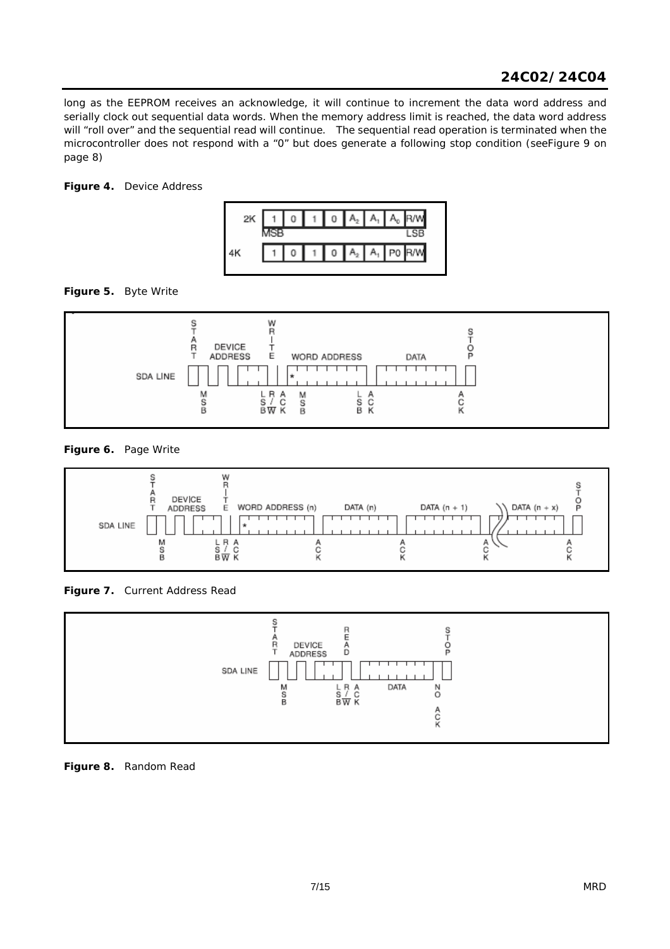long as the EEPROM receives an acknowledge, it will continue to increment the data word address and serially clock out sequential data words. When the memory address limit is reached, the data word address will "roll over" and the sequential read will continue. The sequential read operation is terminated when the microcontroller does not respond with a "0" but does generate a following stop condition (seeFigure 9 on page 8)

# **Figure 4.** Device Address



**Figure 5.** Byte Write



**Figure 6.** Page Write



**Figure 7.** Current Address Read



**Figure 8.** Random Read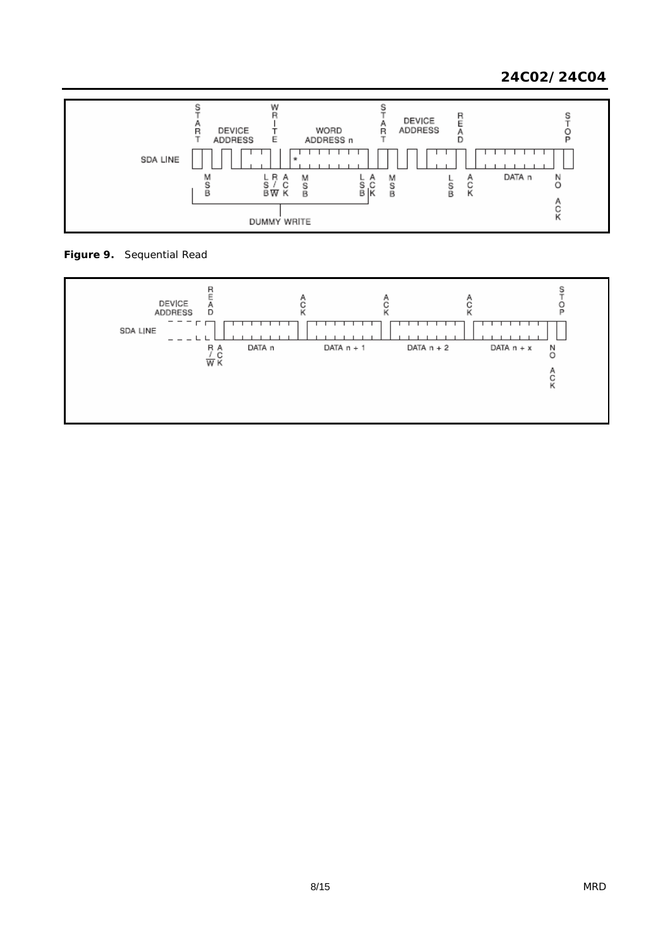# *24C02/24C04*



**Figure 9.** Sequential Read

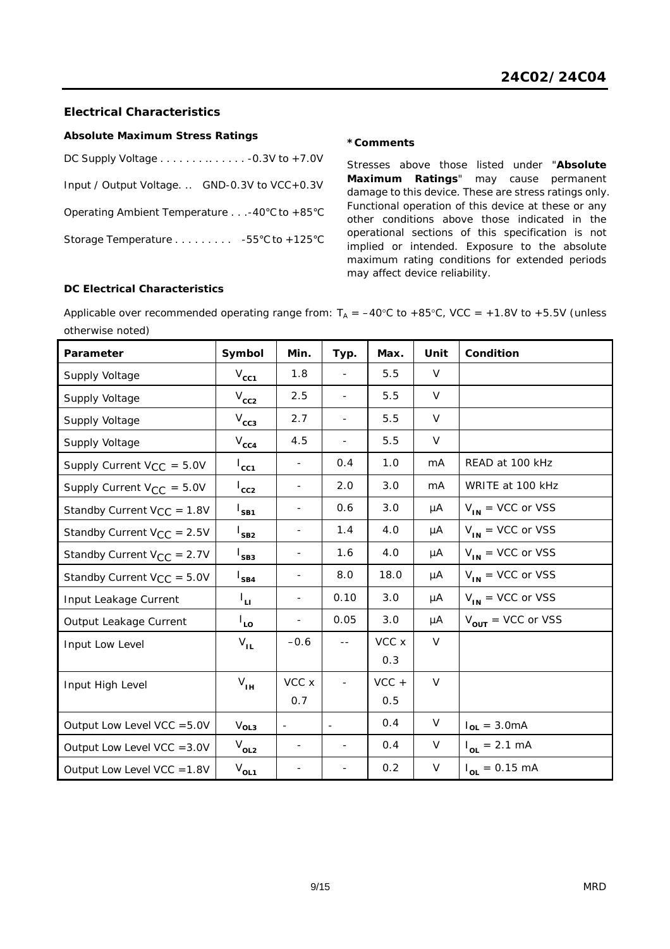# **Electrical Characteristics**

### **Absolute Maximum Stress Ratings**

| DC Supply Voltage $\ldots \ldots \ldots \ldots \ldots -0.3V$ to $+7.0V$ |  |
|-------------------------------------------------------------------------|--|
| Input / Output Voltage GND-0.3V to VCC+0.3V                             |  |
| Operating Ambient Temperature -40 $\degree$ C to +85 $\degree$ C        |  |
| Storage Temperature 55°C to +125°C                                      |  |

#### **\*Comments**

Stresses above those listed under "**Absolute Maximum Ratings**" may cause permanent damage to this device. These are stress ratings only. Functional operation of this device at these or any other conditions above those indicated in the operational sections of this specification is not implied or intended. Exposure to the absolute maximum rating conditions for extended periods may affect device reliability.

### **DC Electrical Characteristics**

Applicable over recommended operating range from:  $T_A = -40^{\circ}C$  to +85°C, VCC = +1.8V to +5.5V (unless otherwise noted)

| Parameter                       | Symbol           | Min.                     | Typ.           | Max.    | Unit   | Condition                     |
|---------------------------------|------------------|--------------------------|----------------|---------|--------|-------------------------------|
| Supply Voltage                  | $V_{cc1}$        | 1.8                      |                | 5.5     | $\vee$ |                               |
| Supply Voltage                  | $V_{cc2}$        | 2.5                      | $\blacksquare$ | 5.5     | $\vee$ |                               |
| Supply Voltage                  | $V_{cc3}$        | 2.7                      |                | 5.5     | V      |                               |
| Supply Voltage                  | $V_{cc4}$        | 4.5                      |                | 5.5     | V      |                               |
| Supply Current $V_{CC} = 5.0V$  | $I_{cc1}$        | $\overline{\phantom{a}}$ | 0.4            | 1.0     | mA     | READ at 100 kHz               |
| Supply Current $V_{CC} = 5.0V$  | $I_{cc2}$        | $\overline{\phantom{m}}$ | 2.0            | 3.0     | mA     | WRITE at 100 kHz              |
| Standby Current $V_{CC} = 1.8V$ | $I_{SB1}$        | $\overline{\phantom{a}}$ | 0.6            | 3.0     | μA     | $V_{IN}$ = VCC or VSS         |
| Standby Current $V_{CC} = 2.5V$ | $I_{SB2}$        | $\overline{\phantom{a}}$ | 1.4            | 4.0     | μA     | $V_{IN}$ = VCC or VSS         |
| Standby Current $V_{CC} = 2.7V$ | l<br>SB3         | $\overline{a}$           | 1.6            | 4.0     | μA     | $V_{IN}$ = VCC or VSS         |
| Standby Current $V_{CC} = 5.0V$ | $I_{SB4}$        | $\overline{\phantom{a}}$ | 8.0            | 18.0    | μA     | $V_{IN}$ = VCC or VSS         |
| Input Leakage Current           | Ιu.              |                          | 0.10           | 3.0     | μA     | $V_{IN}$ = VCC or VSS         |
| Output Leakage Current          | $I_{LO}$         |                          | 0.05           | 3.0     | μA     | $V_{\text{OUT}}$ = VCC or VSS |
| Input Low Level                 | $V_{IL}$         | $-0.6$                   | $ -$           | VCC x   | V      |                               |
|                                 |                  |                          |                | 0.3     |        |                               |
| Input High Level                | $V_{IH}$         | VCC x                    |                | $VCC +$ | $\vee$ |                               |
|                                 |                  | 0.7                      |                | 0.5     |        |                               |
| Output Low Level VCC = 5.0V     | V <sub>OL3</sub> | $\overline{\phantom{a}}$ |                | 0.4     | V      | $I_{OL} = 3.0mA$              |
| Output Low Level VCC = 3.0V     | $V_{OL2}$        | $\overline{\phantom{a}}$ | $\blacksquare$ | 0.4     | V      | $I_{OL} = 2.1 \text{ mA}$     |
| Output Low Level VCC = 1.8V     | $V_{OL1}$        |                          |                | 0.2     | V      | $I_{OL} = 0.15 \text{ mA}$    |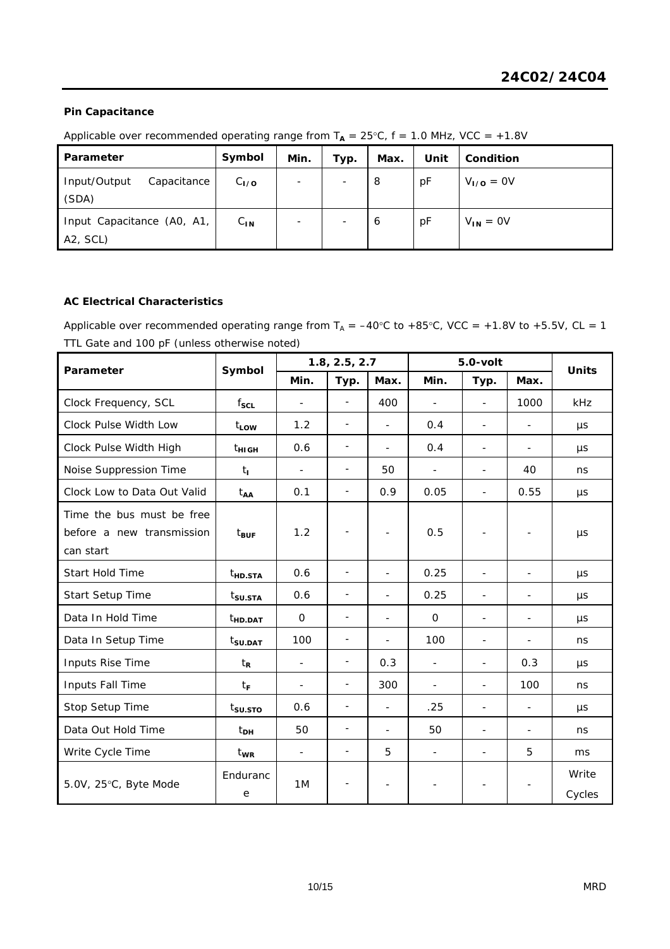# **Pin Capacitance**

Applicable over recommended operating range from  $T_A = 25^{\circ}C$ ,  $f = 1.0$  MHz, VCC = +1.8V

| Parameter                                                        | Symbol    | Min.                     | Typ.                     | Max. | Unit | Condition     |
|------------------------------------------------------------------|-----------|--------------------------|--------------------------|------|------|---------------|
| Input/Output<br>Capacitance<br>(SDA)                             | $C_{1/0}$ | $\overline{\phantom{a}}$ | $\overline{\phantom{a}}$ | 8    | pF   | $VI/O = 0V$   |
| Input Capacitance (A0, A1,<br>A <sub>2</sub> , SC <sub>L</sub> ) | $C_{IN}$  | $\overline{\phantom{a}}$ | $\overline{\phantom{a}}$ | 6    | pF   | $V_{IN} = OV$ |

### **AC Electrical Characteristics**

Applicable over recommended operating range from  $T_A = -40^{\circ}C$  to +85°C, VCC = +1.8V to +5.5V, CL = 1 TTL Gate and 100 pF (unless otherwise noted)

| Parameter                                                           | Symbol              | 1.8, 2.5, 2.7            |                          |                          | $5.0$ -volt              |                              |                          | <b>Units</b>    |
|---------------------------------------------------------------------|---------------------|--------------------------|--------------------------|--------------------------|--------------------------|------------------------------|--------------------------|-----------------|
|                                                                     |                     | Min.                     | Typ.                     | Max.                     | Min.                     | Typ.                         | Max.                     |                 |
| Clock Frequency, SCL                                                | $f_{\text{SCL}}$    |                          | $\frac{1}{2}$            | 400                      |                          | $\overline{a}$               | 1000                     | kHz             |
| Clock Pulse Width Low                                               | $t_{LOW}$           | 1.2                      | $\overline{\phantom{a}}$ | $\overline{a}$           | 0.4                      | L,                           |                          | $\mu s$         |
| Clock Pulse Width High                                              | $t_{\rm HIGH}$      | 0.6                      | $\overline{\phantom{a}}$ | $\overline{a}$           | 0.4                      | $\blacksquare$               | $\overline{\phantom{a}}$ | μs              |
| Noise Suppression Time                                              | $t_{\rm L}$         | $\blacksquare$           | $\overline{\phantom{a}}$ | 50                       | $\overline{\phantom{a}}$ | $\overline{\phantom{a}}$     | 40                       | ns              |
| Clock Low to Data Out Valid                                         | t <sub>AA</sub>     | 0.1                      | $\overline{\phantom{a}}$ | 0.9                      | 0.05                     | $\overline{a}$               | 0.55                     | μs              |
| Time the bus must be free<br>before a new transmission<br>can start | $t_{\text{BUF}}$    | 1.2                      | $\overline{\phantom{a}}$ | $\overline{\phantom{a}}$ | 0.5                      | $\overline{\phantom{a}}$     | ۰                        | μs              |
| <b>Start Hold Time</b>                                              | $t_{HD,STA}$        | 0.6                      | $\overline{\phantom{a}}$ | $\overline{\phantom{m}}$ | 0.25                     | $\overline{\phantom{a}}$     | $\overline{\phantom{a}}$ | $\mu s$         |
| Start Setup Time                                                    | t <sub>su.sta</sub> | 0.6                      | -                        | $\overline{\phantom{a}}$ | 0.25                     | $\overline{\phantom{a}}$     | $\blacksquare$           | μs              |
| Data In Hold Time                                                   | <sup>t</sup> HD.DAT | $\mathbf 0$              | $\overline{\phantom{a}}$ |                          | $\mathbf 0$              |                              |                          | μs              |
| Data In Setup Time                                                  | t <sub>SU.DAT</sub> | 100                      | $\overline{\phantom{0}}$ | $\overline{a}$           | 100                      | $\qquad \qquad \blacksquare$ | $\overline{\phantom{a}}$ | ns              |
| Inputs Rise Time                                                    | $t_{\mathsf{R}}$    | $\overline{\phantom{a}}$ | -                        | 0.3                      | $\overline{\phantom{a}}$ | $\overline{a}$               | 0.3                      | μs              |
| Inputs Fall Time                                                    | tF                  |                          | $\overline{\phantom{0}}$ | 300                      |                          | $\overline{\phantom{a}}$     | 100                      | ns              |
| Stop Setup Time                                                     | t <sub>su.sto</sub> | 0.6                      | $\overline{\phantom{a}}$ | $\overline{a}$           | .25                      | L,                           |                          | $\mu s$         |
| Data Out Hold Time                                                  | t <sub>DH</sub>     | 50                       | $\overline{\phantom{a}}$ | $\overline{a}$           | 50                       | $\overline{a}$               | $\blacksquare$           | ns              |
| Write Cycle Time                                                    | t <sub>wr</sub>     | $\overline{\phantom{a}}$ | $\overline{\phantom{0}}$ | 5                        | $\overline{\phantom{a}}$ | L,                           | 5                        | ms              |
| 5.0V, 25°C, Byte Mode                                               | Enduranc<br>e       | 1M                       | -                        | $\overline{\phantom{a}}$ | $\overline{\phantom{a}}$ | $\overline{\phantom{a}}$     |                          | Write<br>Cycles |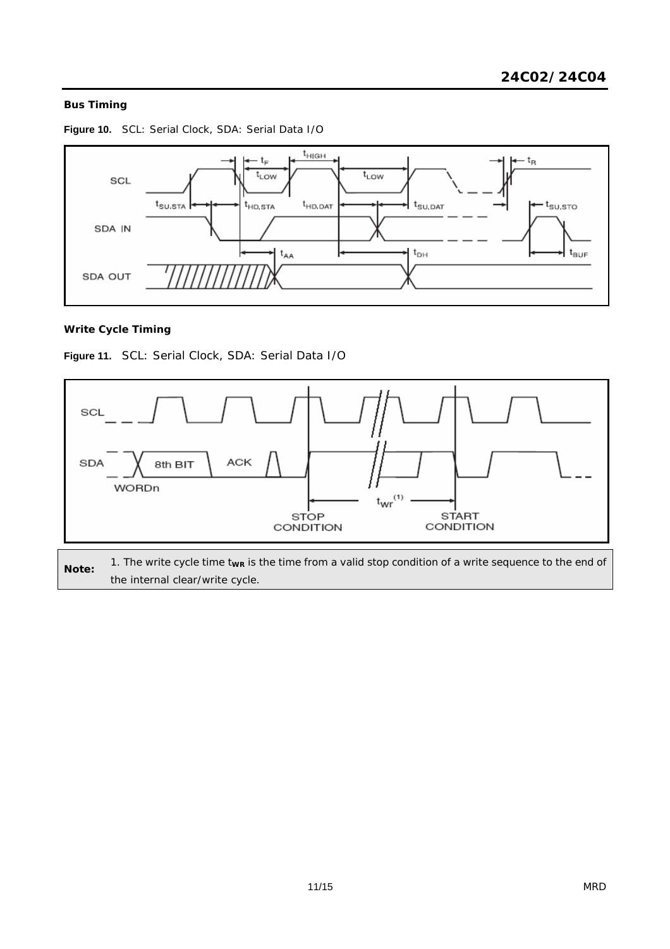# **Bus Timing**



**Figure 10.** SCL: Serial Clock, SDA: Serial Data I/O

# **Write Cycle Timing**

**Figure 11.** SCL: Serial Clock, SDA: Serial Data I/O



1. The write cycle time t<sub>wr</sub> is the time from a valid stop condition of a write sequence to the end of the internal clear/write cycle.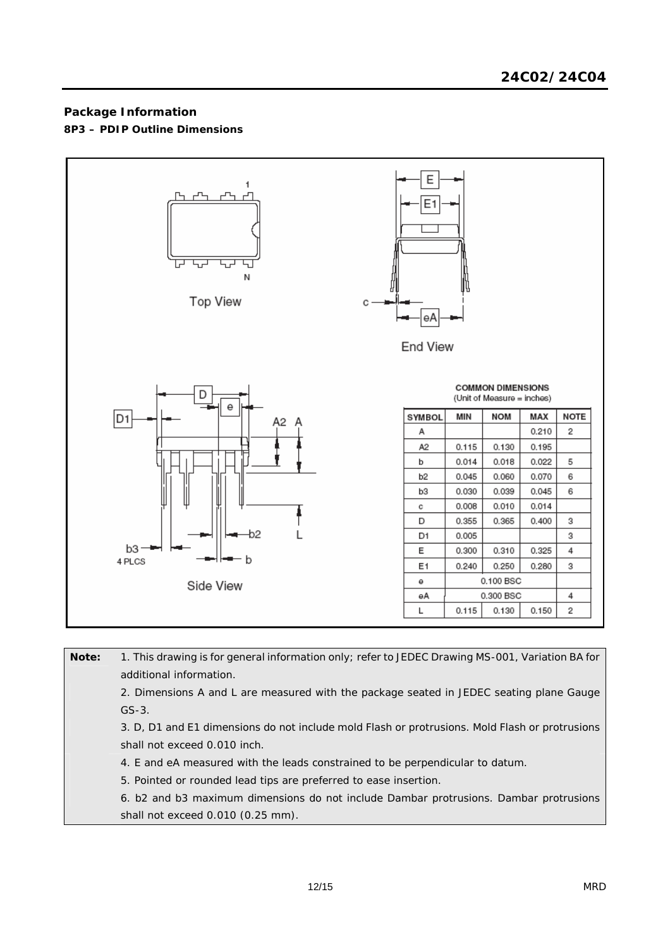# **Package Information 8P3 – PDIP Outline Dimensions**



| Note: | 1. This drawing is for general information only; refer to JEDEC Drawing MS-001, Variation BA for<br>additional information. |
|-------|-----------------------------------------------------------------------------------------------------------------------------|
|       | 2. Dimensions A and L are measured with the package seated in JEDEC seating plane Gauge                                     |
|       | $GS-3$ .                                                                                                                    |
|       | 3. D, D1 and E1 dimensions do not include mold Flash or protrusions. Mold Flash or protrusions                              |
|       | shall not exceed 0.010 inch.                                                                                                |
|       | 4. E and eA measured with the leads constrained to be perpendicular to datum.                                               |
|       | 5. Pointed or rounded lead tips are preferred to ease insertion.                                                            |
|       | 6. b2 and b3 maximum dimensions do not include Dambar protrusions. Dambar protrusions                                       |
|       | shall not exceed 0.010 (0.25 mm).                                                                                           |
|       |                                                                                                                             |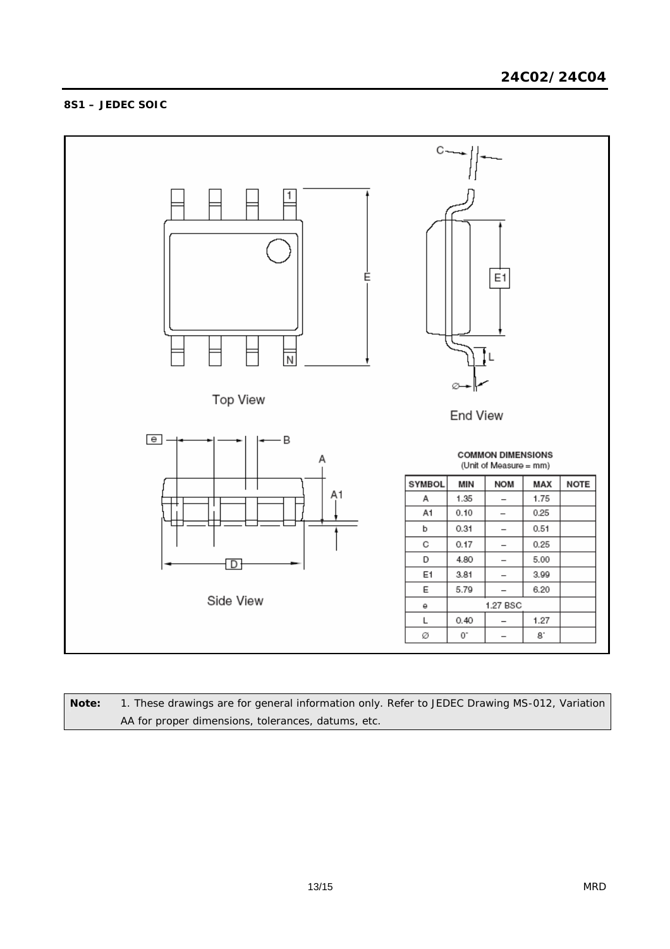# **8S1 – JEDEC SOIC**



**Note:** 1. These drawings are for general information only. Refer to JEDEC Drawing MS-012, Variation AA for proper dimensions, tolerances, datums, etc.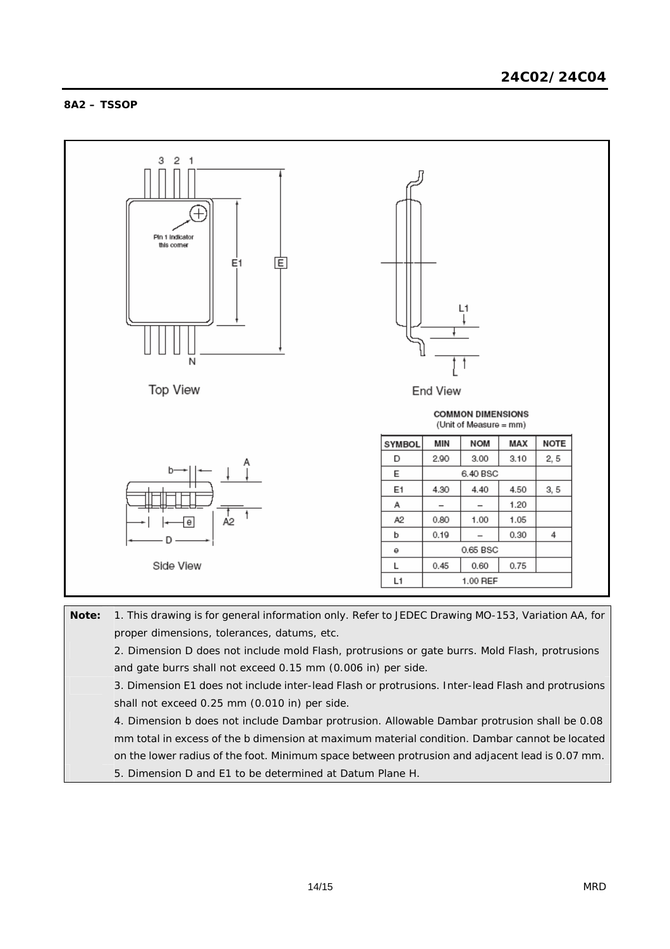## **8A2 – TSSOP**



**Note:** 1. This drawing is for general information only. Refer to JEDEC Drawing MO-153, Variation AA, for proper dimensions, tolerances, datums, etc. 2. Dimension D does not include mold Flash, protrusions or gate burrs. Mold Flash, protrusions and gate burrs shall not exceed 0.15 mm (0.006 in) per side. 3. Dimension E1 does not include inter-lead Flash or protrusions. Inter-lead Flash and protrusions shall not exceed 0.25 mm (0.010 in) per side. 4. Dimension b does not include Dambar protrusion. Allowable Dambar protrusion shall be 0.08 mm total in excess of the b dimension at maximum material condition. Dambar cannot be located on the lower radius of the foot. Minimum space between protrusion and adjacent lead is 0.07 mm. 5. Dimension D and E1 to be determined at Datum Plane H.